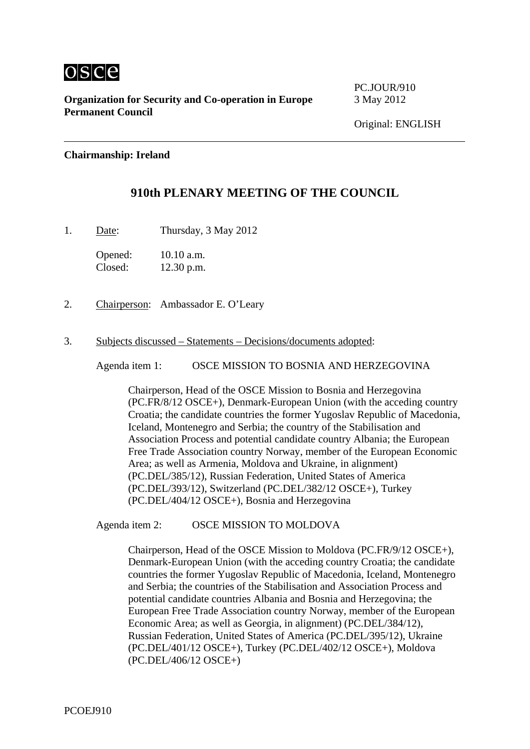

**Organization for Security and Co-operation in Europe** 3 May 2012 **Permanent Council** 

PC.JOUR/910

# **Chairmanship: Ireland**

# **910th PLENARY MEETING OF THE COUNCIL**

1. Date: Thursday, 3 May 2012

Opened: 10.10 a.m. Closed: 12.30 p.m.

2. Chairperson: Ambassador E. O'Leary

#### 3. Subjects discussed – Statements – Decisions/documents adopted:

Agenda item 1: OSCE MISSION TO BOSNIA AND HERZEGOVINA

Chairperson, Head of the OSCE Mission to Bosnia and Herzegovina (PC.FR/8/12 OSCE+), Denmark-European Union (with the acceding country Croatia; the candidate countries the former Yugoslav Republic of Macedonia, Iceland, Montenegro and Serbia; the country of the Stabilisation and Association Process and potential candidate country Albania; the European Free Trade Association country Norway, member of the European Economic Area; as well as Armenia, Moldova and Ukraine, in alignment) (PC.DEL/385/12), Russian Federation, United States of America (PC.DEL/393/12), Switzerland (PC.DEL/382/12 OSCE+), Turkey (PC.DEL/404/12 OSCE+), Bosnia and Herzegovina

Agenda item 2: OSCE MISSION TO MOLDOVA

Chairperson, Head of the OSCE Mission to Moldova (PC.FR/9/12 OSCE+), Denmark-European Union (with the acceding country Croatia; the candidate countries the former Yugoslav Republic of Macedonia, Iceland, Montenegro and Serbia; the countries of the Stabilisation and Association Process and potential candidate countries Albania and Bosnia and Herzegovina; the European Free Trade Association country Norway, member of the European Economic Area; as well as Georgia, in alignment) (PC.DEL/384/12), Russian Federation, United States of America (PC.DEL/395/12), Ukraine (PC.DEL/401/12 OSCE+), Turkey (PC.DEL/402/12 OSCE+), Moldova (PC.DEL/406/12 OSCE+)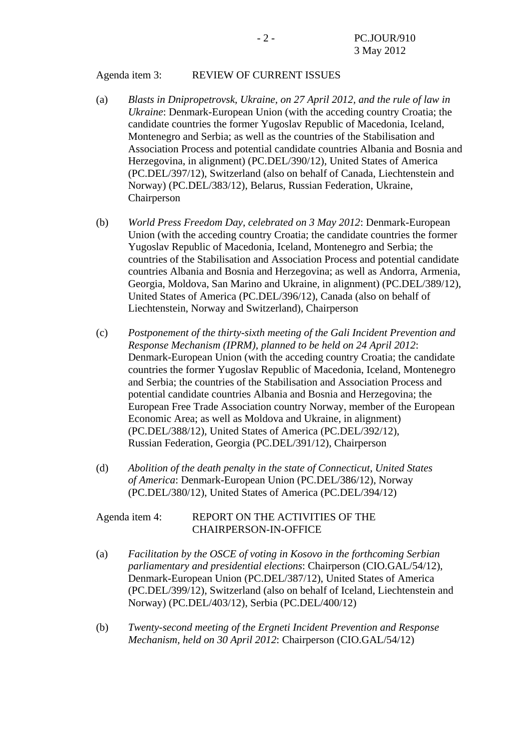### Agenda item 3: REVIEW OF CURRENT ISSUES

- (a) *Blasts in Dnipropetrovsk, Ukraine, on 27 April 2012, and the rule of law in Ukraine*: Denmark-European Union (with the acceding country Croatia; the candidate countries the former Yugoslav Republic of Macedonia, Iceland, Montenegro and Serbia; as well as the countries of the Stabilisation and Association Process and potential candidate countries Albania and Bosnia and Herzegovina, in alignment) (PC.DEL/390/12), United States of America (PC.DEL/397/12), Switzerland (also on behalf of Canada, Liechtenstein and Norway) (PC.DEL/383/12), Belarus, Russian Federation, Ukraine, Chairperson
- (b) *World Press Freedom Day, celebrated on 3 May 2012*: Denmark-European Union (with the acceding country Croatia; the candidate countries the former Yugoslav Republic of Macedonia, Iceland, Montenegro and Serbia; the countries of the Stabilisation and Association Process and potential candidate countries Albania and Bosnia and Herzegovina; as well as Andorra, Armenia, Georgia, Moldova, San Marino and Ukraine, in alignment) (PC.DEL/389/12), United States of America (PC.DEL/396/12), Canada (also on behalf of Liechtenstein, Norway and Switzerland), Chairperson
- (c) *Postponement of the thirty-sixth meeting of the Gali Incident Prevention and Response Mechanism (IPRM), planned to be held on 24 April 2012*: Denmark-European Union (with the acceding country Croatia; the candidate countries the former Yugoslav Republic of Macedonia, Iceland, Montenegro and Serbia; the countries of the Stabilisation and Association Process and potential candidate countries Albania and Bosnia and Herzegovina; the European Free Trade Association country Norway, member of the European Economic Area; as well as Moldova and Ukraine, in alignment) (PC.DEL/388/12), United States of America (PC.DEL/392/12), Russian Federation, Georgia (PC.DEL/391/12), Chairperson
- (d) *Abolition of the death penalty in the state of Connecticut, United States of America*: Denmark-European Union (PC.DEL/386/12), Norway (PC.DEL/380/12), United States of America (PC.DEL/394/12)

# Agenda item 4: REPORT ON THE ACTIVITIES OF THE CHAIRPERSON-IN-OFFICE

- (a) *Facilitation by the OSCE of voting in Kosovo in the forthcoming Serbian parliamentary and presidential elections*: Chairperson (CIO.GAL/54/12), Denmark-European Union (PC.DEL/387/12), United States of America (PC.DEL/399/12), Switzerland (also on behalf of Iceland, Liechtenstein and Norway) (PC.DEL/403/12), Serbia (PC.DEL/400/12)
- (b) *Twenty-second meeting of the Ergneti Incident Prevention and Response Mechanism, held on 30 April 2012*: Chairperson (CIO.GAL/54/12)